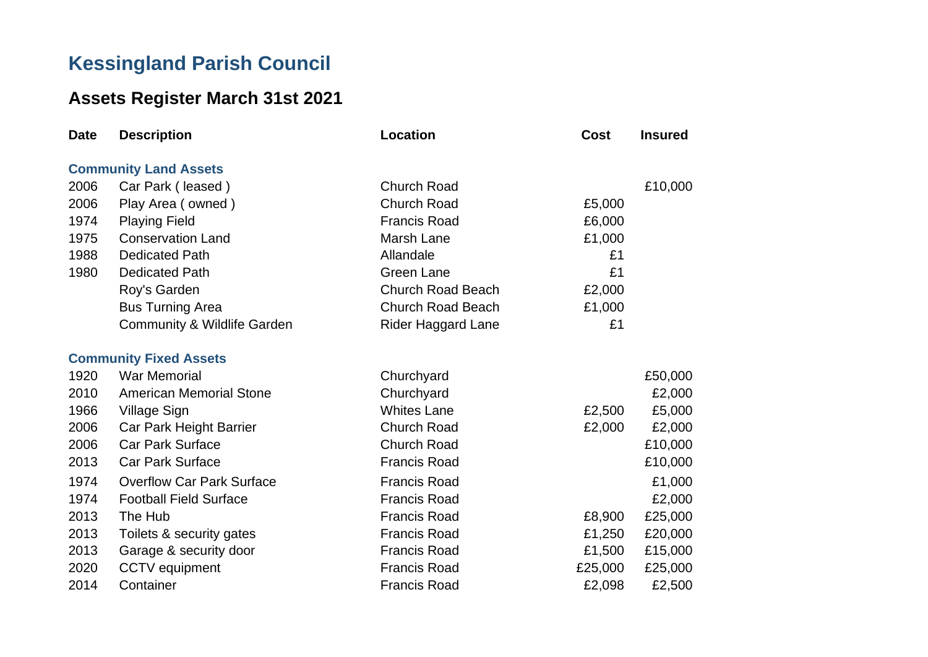## **Kessingland Parish Council**

## **Assets Register March 31st 2021**

| <b>Date</b> | <b>Description</b>                     | <b>Location</b>           | Cost    | <b>Insured</b> |
|-------------|----------------------------------------|---------------------------|---------|----------------|
|             | <b>Community Land Assets</b>           |                           |         |                |
| 2006        | Car Park (leased)                      | <b>Church Road</b>        |         | £10,000        |
| 2006        | Play Area (owned)                      | <b>Church Road</b>        | £5,000  |                |
| 1974        | <b>Playing Field</b>                   | <b>Francis Road</b>       | £6,000  |                |
| 1975        | <b>Conservation Land</b>               | Marsh Lane                | £1,000  |                |
| 1988        | <b>Dedicated Path</b>                  | Allandale                 | £1      |                |
| 1980        | <b>Dedicated Path</b>                  | <b>Green Lane</b>         | £1      |                |
|             | Roy's Garden                           | <b>Church Road Beach</b>  | £2,000  |                |
|             | <b>Bus Turning Area</b>                | <b>Church Road Beach</b>  | £1,000  |                |
|             | <b>Community &amp; Wildlife Garden</b> | <b>Rider Haggard Lane</b> | £1      |                |
|             | <b>Community Fixed Assets</b>          |                           |         |                |
| 1920        | <b>War Memorial</b>                    | Churchyard                |         | £50,000        |
| 2010        | <b>American Memorial Stone</b>         | Churchyard                |         | £2,000         |
| 1966        | <b>Village Sign</b>                    | <b>Whites Lane</b>        | £2,500  | £5,000         |
| 2006        | Car Park Height Barrier                | <b>Church Road</b>        | £2,000  | £2,000         |
| 2006        | <b>Car Park Surface</b>                | <b>Church Road</b>        |         | £10,000        |
| 2013        | <b>Car Park Surface</b>                | <b>Francis Road</b>       |         | £10,000        |
| 1974        | <b>Overflow Car Park Surface</b>       | <b>Francis Road</b>       |         | £1,000         |
| 1974        | <b>Football Field Surface</b>          | <b>Francis Road</b>       |         | £2,000         |
| 2013        | The Hub                                | <b>Francis Road</b>       | £8,900  | £25,000        |
| 2013        | Toilets & security gates               | <b>Francis Road</b>       | £1,250  | £20,000        |
| 2013        | Garage & security door                 | <b>Francis Road</b>       | £1,500  | £15,000        |
| 2020        | <b>CCTV</b> equipment                  | <b>Francis Road</b>       | £25,000 | £25,000        |
| 2014        | Container                              | <b>Francis Road</b>       | £2,098  | £2,500         |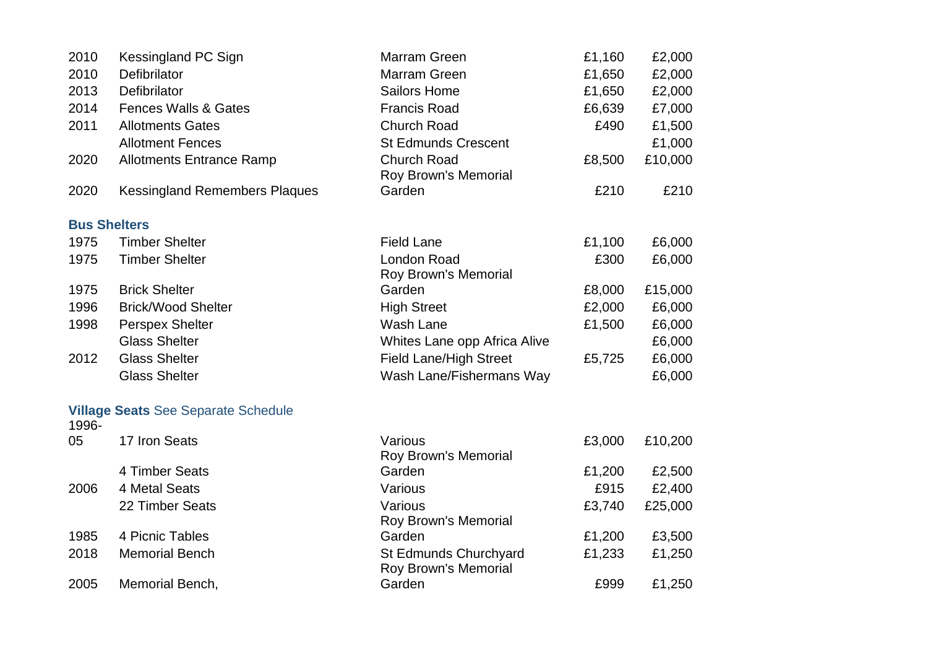| 2010  | Kessingland PC Sign                        | Marram Green                                  | £1,160 | £2,000  |
|-------|--------------------------------------------|-----------------------------------------------|--------|---------|
| 2010  | Defibrilator                               | Marram Green                                  | £1,650 | £2,000  |
| 2013  | Defibrilator                               | <b>Sailors Home</b>                           | £1,650 | £2,000  |
| 2014  | <b>Fences Walls &amp; Gates</b>            | <b>Francis Road</b>                           | £6,639 | £7,000  |
| 2011  | <b>Allotments Gates</b>                    | <b>Church Road</b>                            | £490   | £1,500  |
|       | <b>Allotment Fences</b>                    | <b>St Edmunds Crescent</b>                    |        | £1,000  |
| 2020  | <b>Allotments Entrance Ramp</b>            | <b>Church Road</b><br>Roy Brown's Memorial    | £8,500 | £10,000 |
| 2020  | <b>Kessingland Remembers Plaques</b>       | Garden                                        | £210   | £210    |
|       | <b>Bus Shelters</b>                        |                                               |        |         |
| 1975  | <b>Timber Shelter</b>                      | <b>Field Lane</b>                             | £1,100 | £6,000  |
| 1975  | <b>Timber Shelter</b>                      | London Road<br>Roy Brown's Memorial           | £300   | £6,000  |
| 1975  | <b>Brick Shelter</b>                       | Garden                                        | £8,000 | £15,000 |
| 1996  | <b>Brick/Wood Shelter</b>                  | <b>High Street</b>                            | £2,000 | £6,000  |
| 1998  | <b>Perspex Shelter</b>                     | Wash Lane                                     | £1,500 | £6,000  |
|       | <b>Glass Shelter</b>                       | Whites Lane opp Africa Alive                  |        | £6,000  |
| 2012  | <b>Glass Shelter</b>                       | <b>Field Lane/High Street</b>                 | £5,725 | £6,000  |
|       | <b>Glass Shelter</b>                       | Wash Lane/Fishermans Way                      |        | £6,000  |
| 1996- | <b>Village Seats See Separate Schedule</b> |                                               |        |         |
| 05    | 17 Iron Seats                              | Various<br>Roy Brown's Memorial               | £3,000 | £10,200 |
|       | 4 Timber Seats                             | Garden                                        | £1,200 | £2,500  |
| 2006  | 4 Metal Seats                              | Various                                       | £915   | £2,400  |
|       | 22 Timber Seats                            | Various<br>Roy Brown's Memorial               | £3,740 | £25,000 |
| 1985  | 4 Picnic Tables                            | Garden                                        | £1,200 | £3,500  |
| 2018  | <b>Memorial Bench</b>                      | St Edmunds Churchyard<br>Roy Brown's Memorial | £1,233 | £1,250  |
| 2005  | Memorial Bench,                            | Garden                                        | £999   | £1,250  |
|       |                                            |                                               |        |         |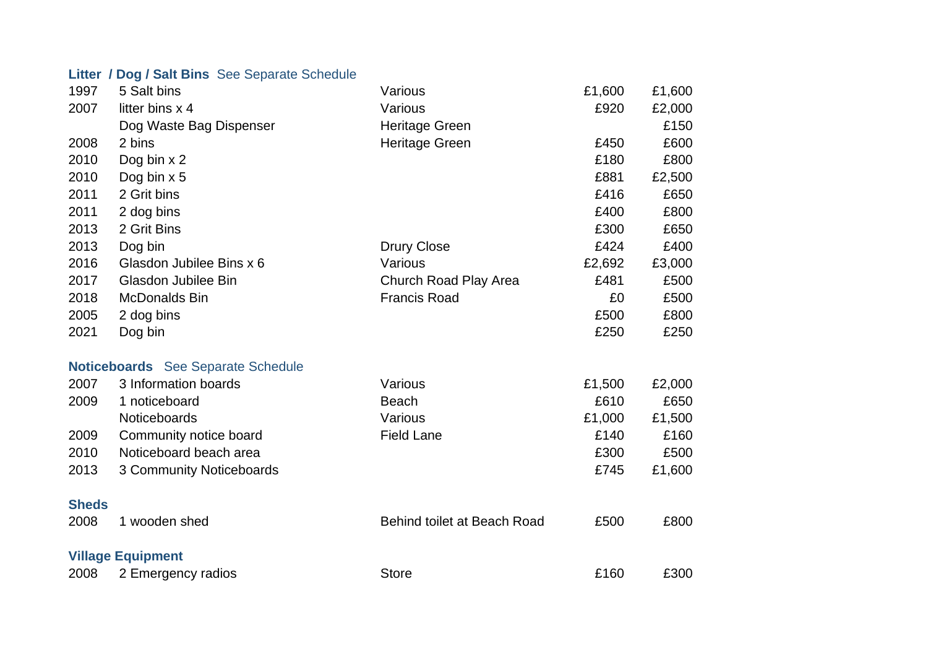## **Litter / Dog / Salt Bins** See Separate Schedule

| 1997         | 5 Salt bins                               | Various                     | £1,600 | £1,600 |
|--------------|-------------------------------------------|-----------------------------|--------|--------|
| 2007         | litter bins x 4                           | Various                     | £920   | £2,000 |
|              | Dog Waste Bag Dispenser                   | <b>Heritage Green</b>       |        | £150   |
| 2008         | 2 bins                                    | <b>Heritage Green</b>       | £450   | £600   |
| 2010         | Dog bin x 2                               |                             | £180   | £800   |
| 2010         | Dog bin $x$ 5                             |                             | £881   | £2,500 |
| 2011         | 2 Grit bins                               |                             | £416   | £650   |
| 2011         | 2 dog bins                                |                             | £400   | £800   |
| 2013         | 2 Grit Bins                               |                             | £300   | £650   |
| 2013         | Dog bin                                   | <b>Drury Close</b>          | £424   | £400   |
| 2016         | Glasdon Jubilee Bins x 6                  | Various                     | £2,692 | £3,000 |
| 2017         | Glasdon Jubilee Bin                       | Church Road Play Area       | £481   | £500   |
| 2018         | <b>McDonalds Bin</b>                      | <b>Francis Road</b>         | £0     | £500   |
| 2005         | 2 dog bins                                |                             | £500   | £800   |
| 2021         | Dog bin                                   |                             | £250   | £250   |
|              |                                           |                             |        |        |
|              | <b>Noticeboards</b> See Separate Schedule |                             |        |        |
| 2007         | 3 Information boards                      | Various                     | £1,500 | £2,000 |
| 2009         | 1 noticeboard                             | <b>Beach</b>                | £610   | £650   |
|              | Noticeboards                              | Various                     | £1,000 | £1,500 |
| 2009         | Community notice board                    | <b>Field Lane</b>           | £140   | £160   |
| 2010         | Noticeboard beach area                    |                             | £300   | £500   |
| 2013         | 3 Community Noticeboards                  |                             | £745   | £1,600 |
|              |                                           |                             |        |        |
| <b>Sheds</b> |                                           |                             |        |        |
| 2008         | 1 wooden shed                             | Behind toilet at Beach Road | £500   | £800   |
|              |                                           |                             |        |        |
|              | <b>Village Equipment</b>                  |                             |        |        |
| 2008         | 2 Emergency radios                        | <b>Store</b>                | £160   | £300   |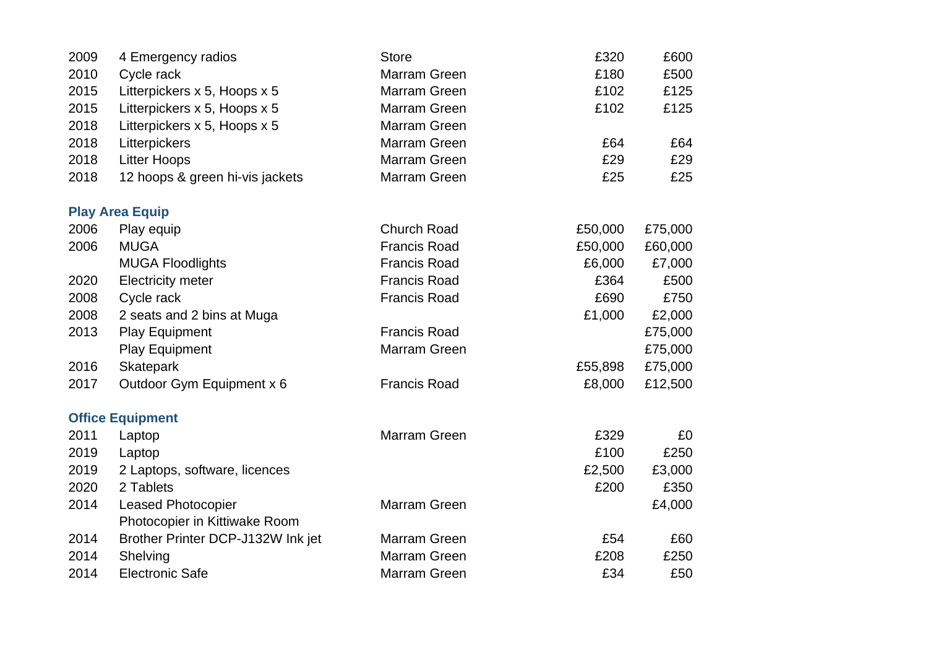| 2009 | 4 Emergency radios                | <b>Store</b>        | £320    | £600    |
|------|-----------------------------------|---------------------|---------|---------|
| 2010 | Cycle rack                        | <b>Marram Green</b> | £180    | £500    |
| 2015 | Litterpickers x 5, Hoops x 5      | Marram Green        | £102    | £125    |
| 2015 | Litterpickers x 5, Hoops x 5      | Marram Green        | £102    | £125    |
| 2018 | Litterpickers x 5, Hoops x 5      | <b>Marram Green</b> |         |         |
| 2018 | Litterpickers                     | Marram Green        | £64     | £64     |
| 2018 | <b>Litter Hoops</b>               | Marram Green        | £29     | £29     |
| 2018 | 12 hoops & green hi-vis jackets   | Marram Green        | £25     | £25     |
|      | <b>Play Area Equip</b>            |                     |         |         |
| 2006 | Play equip                        | <b>Church Road</b>  | £50,000 | £75,000 |
| 2006 | <b>MUGA</b>                       | <b>Francis Road</b> | £50,000 | £60,000 |
|      | <b>MUGA Floodlights</b>           | <b>Francis Road</b> | £6,000  | £7,000  |
| 2020 | <b>Electricity meter</b>          | <b>Francis Road</b> | £364    | £500    |
| 2008 | Cycle rack                        | <b>Francis Road</b> | £690    | £750    |
| 2008 | 2 seats and 2 bins at Muga        |                     | £1,000  | £2,000  |
| 2013 | <b>Play Equipment</b>             | <b>Francis Road</b> |         | £75,000 |
|      | <b>Play Equipment</b>             | Marram Green        |         | £75,000 |
| 2016 | <b>Skatepark</b>                  |                     | £55,898 | £75,000 |
| 2017 | Outdoor Gym Equipment x 6         | <b>Francis Road</b> | £8,000  | £12,500 |
|      | <b>Office Equipment</b>           |                     |         |         |
| 2011 | Laptop                            | <b>Marram Green</b> | £329    | £0      |
| 2019 | Laptop                            |                     | £100    | £250    |
| 2019 | 2 Laptops, software, licences     |                     | £2,500  | £3,000  |
| 2020 | 2 Tablets                         |                     | £200    | £350    |
| 2014 | <b>Leased Photocopier</b>         | Marram Green        |         | £4,000  |
|      | Photocopier in Kittiwake Room     |                     |         |         |
| 2014 | Brother Printer DCP-J132W Ink jet | Marram Green        | £54     | £60     |
| 2014 | Shelving                          | Marram Green        | £208    | £250    |
| 2014 | <b>Electronic Safe</b>            | Marram Green        | £34     | £50     |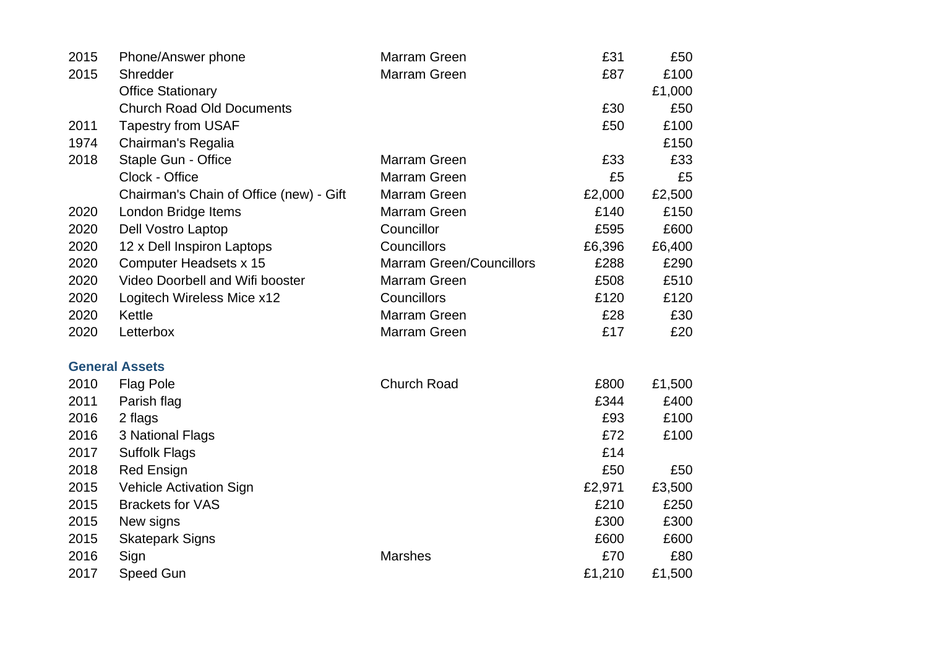| 2015 | Phone/Answer phone                      | <b>Marram Green</b>             | £31    | £50    |
|------|-----------------------------------------|---------------------------------|--------|--------|
| 2015 | Shredder                                | Marram Green                    | £87    | £100   |
|      | <b>Office Stationary</b>                |                                 |        | £1,000 |
|      | <b>Church Road Old Documents</b>        |                                 | £30    | £50    |
| 2011 | <b>Tapestry from USAF</b>               |                                 | £50    | £100   |
| 1974 | Chairman's Regalia                      |                                 |        | £150   |
| 2018 | Staple Gun - Office                     | Marram Green                    | £33    | £33    |
|      | Clock - Office                          | <b>Marram Green</b>             | £5     | £5     |
|      | Chairman's Chain of Office (new) - Gift | Marram Green                    | £2,000 | £2,500 |
| 2020 | London Bridge Items                     | <b>Marram Green</b>             | £140   | £150   |
| 2020 | Dell Vostro Laptop                      | Councillor                      | £595   | £600   |
| 2020 | 12 x Dell Inspiron Laptops              | Councillors                     | £6,396 | £6,400 |
| 2020 | Computer Headsets x 15                  | <b>Marram Green/Councillors</b> | £288   | £290   |
| 2020 | Video Doorbell and Wifi booster         | Marram Green                    | £508   | £510   |
| 2020 | Logitech Wireless Mice x12              | Councillors                     | £120   | £120   |
| 2020 | Kettle                                  | <b>Marram Green</b>             | £28    | £30    |
| 2020 | Letterbox                               | Marram Green                    | £17    | £20    |
|      | <b>General Assets</b>                   |                                 |        |        |
| 2010 | <b>Flag Pole</b>                        | <b>Church Road</b>              | £800   | £1,500 |
| 2011 | Parish flag                             |                                 | £344   | £400   |
| 2016 | 2 flags                                 |                                 | £93    | £100   |
| 2016 | 3 National Flags                        |                                 | £72    | £100   |
| 2017 | <b>Suffolk Flags</b>                    |                                 | £14    |        |
| 2018 | <b>Red Ensign</b>                       |                                 | £50    | £50    |
| 2015 | <b>Vehicle Activation Sign</b>          |                                 | £2,971 | £3,500 |
| 2015 | <b>Brackets for VAS</b>                 |                                 | £210   | £250   |
| 2015 | New signs                               |                                 | £300   | £300   |
| 2015 | <b>Skatepark Signs</b>                  |                                 | £600   | £600   |
| 2016 | Sign                                    | <b>Marshes</b>                  | £70    | £80    |
| 2017 | <b>Speed Gun</b>                        |                                 | £1,210 | £1,500 |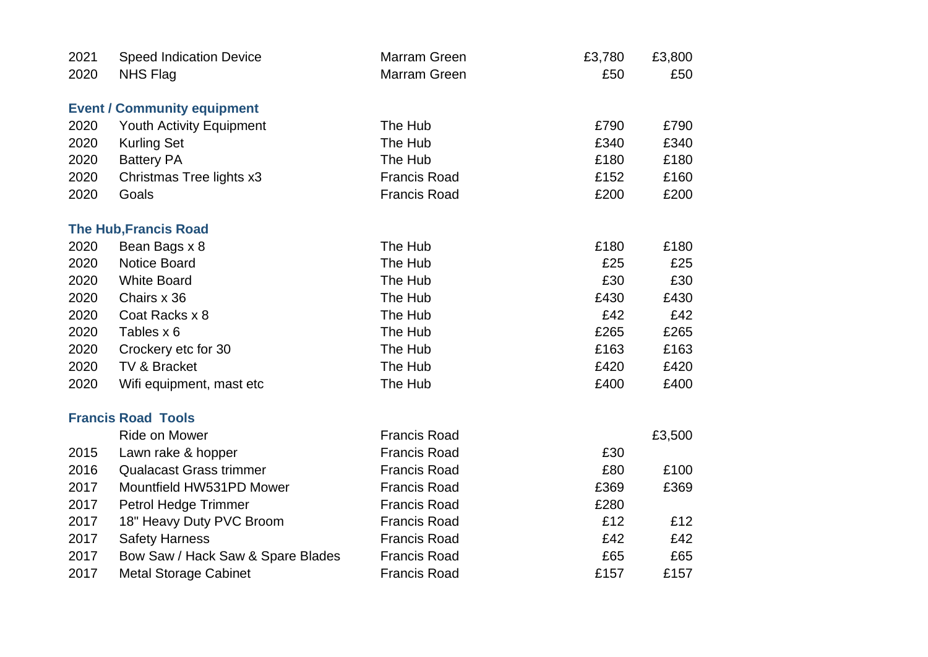| 2021 | <b>Speed Indication Device</b>     | <b>Marram Green</b> | £3,780 | £3,800 |
|------|------------------------------------|---------------------|--------|--------|
| 2020 | <b>NHS Flag</b>                    | Marram Green        | £50    | £50    |
|      | <b>Event / Community equipment</b> |                     |        |        |
| 2020 | <b>Youth Activity Equipment</b>    | The Hub             | £790   | £790   |
| 2020 | <b>Kurling Set</b>                 | The Hub             | £340   | £340   |
| 2020 | <b>Battery PA</b>                  | The Hub             | £180   | £180   |
| 2020 | Christmas Tree lights x3           | <b>Francis Road</b> | £152   | £160   |
| 2020 | Goals                              | <b>Francis Road</b> | £200   | £200   |
|      | <b>The Hub, Francis Road</b>       |                     |        |        |
| 2020 | Bean Bags x 8                      | The Hub             | £180   | £180   |
| 2020 | <b>Notice Board</b>                | The Hub             | £25    | £25    |
| 2020 | <b>White Board</b>                 | The Hub             | £30    | £30    |
| 2020 | Chairs x 36                        | The Hub             | £430   | £430   |
| 2020 | Coat Racks x 8                     | The Hub             | £42    | £42    |
| 2020 | Tables x 6                         | The Hub             | £265   | £265   |
| 2020 | Crockery etc for 30                | The Hub             | £163   | £163   |
| 2020 | TV & Bracket                       | The Hub             | £420   | £420   |
| 2020 | Wifi equipment, mast etc           | The Hub             | £400   | £400   |
|      | <b>Francis Road Tools</b>          |                     |        |        |
|      | <b>Ride on Mower</b>               | <b>Francis Road</b> |        | £3,500 |
| 2015 | Lawn rake & hopper                 | <b>Francis Road</b> | £30    |        |
| 2016 | <b>Qualacast Grass trimmer</b>     | <b>Francis Road</b> | £80    | £100   |
| 2017 | Mountfield HW531PD Mower           | <b>Francis Road</b> | £369   | £369   |
| 2017 | Petrol Hedge Trimmer               | <b>Francis Road</b> | £280   |        |
| 2017 | 18" Heavy Duty PVC Broom           | <b>Francis Road</b> | £12    | £12    |
| 2017 | <b>Safety Harness</b>              | <b>Francis Road</b> | £42    | £42    |
| 2017 | Bow Saw / Hack Saw & Spare Blades  | <b>Francis Road</b> | £65    | £65    |
| 2017 | <b>Metal Storage Cabinet</b>       | <b>Francis Road</b> | £157   | £157   |